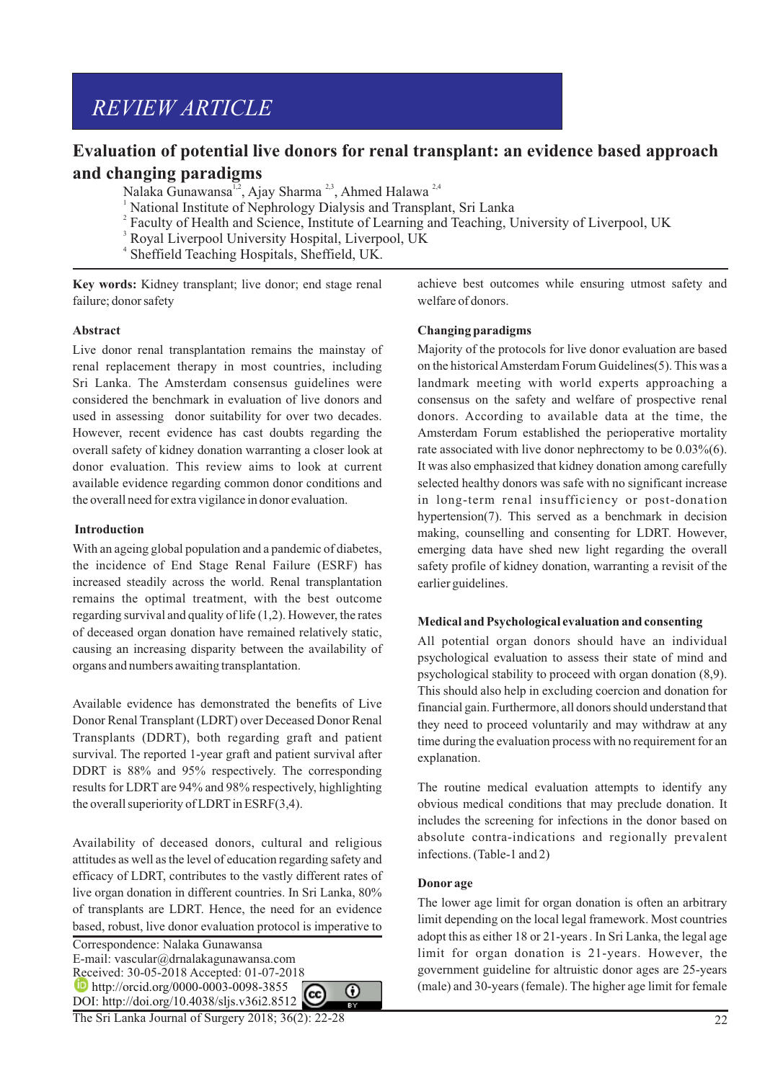# *REVIEW ARTICLE*

## **Evaluation of potential live donors for renal transplant: an evidence based approach and changing paradigms**

Nalaka Gunawansa<sup>1,2</sup>, Ajay Sharma<sup>2,3</sup>, Ahmed Halawa<sup>2,4</sup>

- 1 National Institute of Nephrology Dialysis and Transplant, Sri Lanka
- <sup>2</sup> Faculty of Health and Science, Institute of Learning and Teaching, University of Liverpool, UK<br><sup>3</sup> Boyal Liverpool University Hearital Liverpool, UK
- Royal Liverpool University Hospital, Liverpool, UK
- 4 Sheffield Teaching Hospitals, Sheffield, UK.

**Key words:** Kidney transplant; live donor; end stage renal failure; donor safety

## **Abstract**

Live donor renal transplantation remains the mainstay of renal replacement therapy in most countries, including Sri Lanka. The Amsterdam consensus guidelines were considered the benchmark in evaluation of live donors and used in assessing donor suitability for over two decades. However, recent evidence has cast doubts regarding the overall safety of kidney donation warranting a closer look at donor evaluation. This review aims to look at current available evidence regarding common donor conditions and the overall need for extra vigilance in donor evaluation.

## **Introduction**

With an ageing global population and a pandemic of diabetes, the incidence of End Stage Renal Failure (ESRF) has increased steadily across the world. Renal transplantation remains the optimal treatment, with the best outcome regarding survival and quality of life (1,2). However, the rates of deceased organ donation have remained relatively static, causing an increasing disparity between the availability of organs and numbers awaiting transplantation.

Available evidence has demonstrated the benefits of Live Donor Renal Transplant (LDRT) over Deceased Donor Renal Transplants (DDRT), both regarding graft and patient survival. The reported 1-year graft and patient survival after DDRT is 88% and 95% respectively. The corresponding results for LDRT are 94% and 98% respectively, highlighting the overall superiority of LDRT in  $ESRF(3,4)$ .

Availability of deceased donors, cultural and religious attitudes as well as the level of education regarding safety and efficacy of LDRT, contributes to the vastly different rates of live organ donation in different countries. In Sri Lanka, 80% of transplants are LDRT. Hence, the need for an evidence based, robust, live donor evaluation protocol is imperative to

Correspondence: Nalaka Gunawansa E-mail: vascular@drnalakagunawansa.com Received: 30-05-2018 Accepted: 01-07-2018 **http://orcid.org/0000-0003-0098-3855** DOI: http://doi.org/10.4038/sljs.v36i2.8512

The Sri Lanka Journal of Surgery 2018; 36(2): 22-28

achieve best outcomes while ensuring utmost safety and welfare of donors.

## **Changing paradigms**

Majority of the protocols for live donor evaluation are based on the historical Amsterdam Forum Guidelines(5). This was a landmark meeting with world experts approaching a consensus on the safety and welfare of prospective renal donors. According to available data at the time, the Amsterdam Forum established the perioperative mortality rate associated with live donor nephrectomy to be  $0.03\%(6)$ . It was also emphasized that kidney donation among carefully selected healthy donors was safe with no significant increase in long-term renal insufficiency or post-donation hypertension(7). This served as a benchmark in decision making, counselling and consenting for LDRT. However, emerging data have shed new light regarding the overall safety profile of kidney donation, warranting a revisit of the earlier guidelines.

## **Medical and Psychological evaluation and consenting**

All potential organ donors should have an individual psychological evaluation to assess their state of mind and psychological stability to proceed with organ donation (8,9). This should also help in excluding coercion and donation for financial gain. Furthermore, all donors should understand that they need to proceed voluntarily and may withdraw at any time during the evaluation process with no requirement for an explanation.

The routine medical evaluation attempts to identify any obvious medical conditions that may preclude donation. It includes the screening for infections in the donor based on absolute contra-indications and regionally prevalent infections. (Table-1 and 2)

## **Donor age**

⋒

The lower age limit for organ donation is often an arbitrary limit depending on the local legal framework. Most countries adopt this as either 18 or 21-years . In Sri Lanka, the legal age limit for organ donation is 21-years. However, the government guideline for altruistic donor ages are 25-years (male) and 30-years (female). The higher age limit for female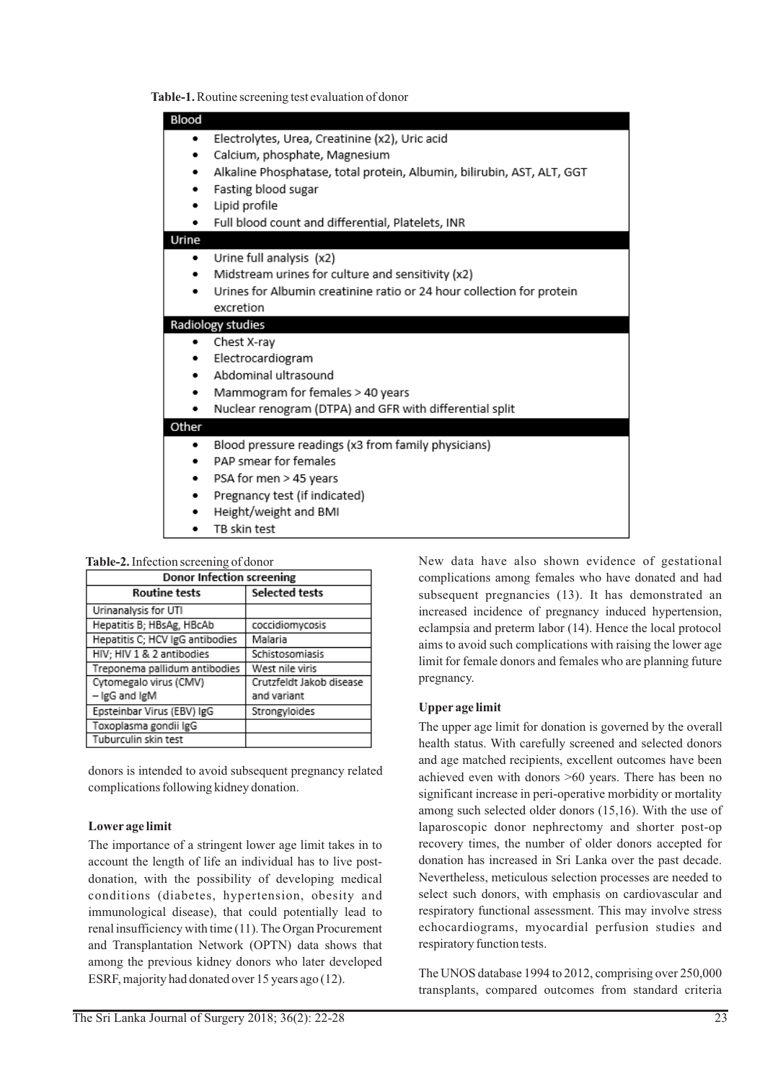**Table-1.** Routine screening test evaluation of donor

| Blood<br>٠        | Electrolytes, Urea, Creatinine (x2), Uric acid<br>Calcium, phosphate, Magnesium<br>Alkaline Phosphatase, total protein, Albumin, bilirubin, AST, ALT, GGT<br>Fasting blood sugar<br>Lipid profile<br>Full blood count and differential, Platelets, INR |  |  |  |
|-------------------|--------------------------------------------------------------------------------------------------------------------------------------------------------------------------------------------------------------------------------------------------------|--|--|--|
| Urine             |                                                                                                                                                                                                                                                        |  |  |  |
| ٠                 | Urine full analysis (x2)<br>Midstream urines for culture and sensitivity (x2)<br>Urines for Albumin creatinine ratio or 24 hour collection for protein<br>excretion                                                                                    |  |  |  |
| Radiology studies |                                                                                                                                                                                                                                                        |  |  |  |
| ٠<br>٠            | Chest X-ray<br>Electrocardiogram<br>Abdominal ultrasound<br>Mammogram for females > 40 years<br>Nuclear renogram (DTPA) and GFR with differential split                                                                                                |  |  |  |
| Other             |                                                                                                                                                                                                                                                        |  |  |  |
| ٠                 | Blood pressure readings (x3 from family physicians)<br>PAP smear for females<br>PSA for men > 45 years<br>Pregnancy test (if indicated)<br>Height/weight and BMI<br>TB skin test                                                                       |  |  |  |

#### **Table-2.**Infection screening of donor

| <b>Donor Infection screening</b> |                          |  |  |
|----------------------------------|--------------------------|--|--|
| <b>Routine tests</b>             | Selected tests           |  |  |
| Urinanalysis for UTI             |                          |  |  |
| Hepatitis B; HBsAg, HBcAb        | coccidiomycosis          |  |  |
| Hepatitis C; HCV IgG antibodies  | Malaria                  |  |  |
| HIV; HIV 1 & 2 antibodies        | Schistosomiasis          |  |  |
| Treponema pallidum antibodies    | West nile viris          |  |  |
| Cytomegalo virus (CMV)           | Crutzfeldt Jakob disease |  |  |
| - IgG and IgM                    | and variant              |  |  |
| Epsteinbar Virus (EBV) IgG       | Strongyloides            |  |  |
| Toxoplasma gondii IgG            |                          |  |  |
| Tuburculin skin test             |                          |  |  |

donors is intended to avoid subsequent pregnancy related complications following kidney donation.

## **Lower age limit**

The importance of a stringent lower age limit takes in to account the length of life an individual has to live postdonation, with the possibility of developing medical conditions (diabetes, hypertension, obesity and immunological disease), that could potentially lead to renal insufficiency with time (11). The Organ Procurement and Transplantation Network (OPTN) data shows that among the previous kidney donors who later developed ESRF, majority had donated over 15 years ago (12).

New data have also shown evidence of gestational complications among females who have donated and had subsequent pregnancies (13). It has demonstrated an increased incidence of pregnancy induced hypertension, eclampsia and preterm labor (14). Hence the local protocol aims to avoid such complications with raising the lower age limit for female donors and females who are planning future pregnancy.

## **Upper age limit**

The upper age limit for donation is governed by the overall health status. With carefully screened and selected donors and age matched recipients, excellent outcomes have been achieved even with donors >60 years. There has been no significant increase in peri-operative morbidity or mortality among such selected older donors (15,16). With the use of laparoscopic donor nephrectomy and shorter post-op recovery times, the number of older donors accepted for donation has increased in Sri Lanka over the past decade. Nevertheless, meticulous selection processes are needed to select such donors, with emphasis on cardiovascular and respiratory functional assessment. This may involve stress echocardiograms, myocardial perfusion studies and respiratory function tests.

The UNOS database 1994 to 2012, comprising over 250,000 transplants, compared outcomes from standard criteria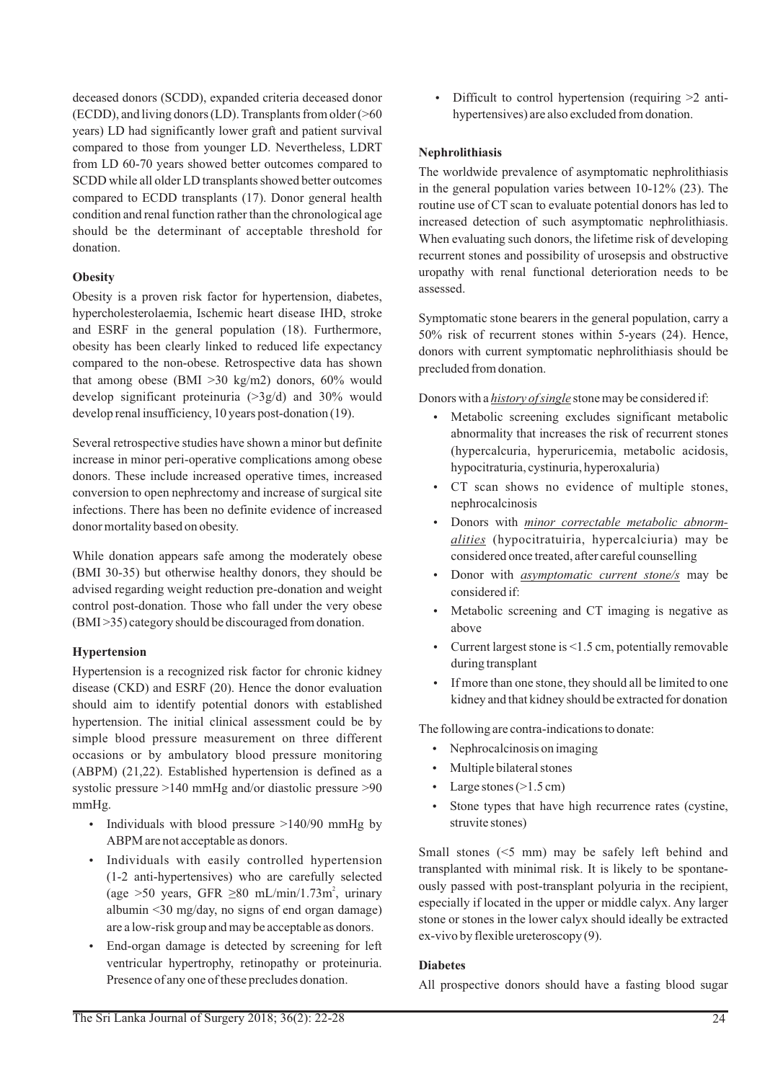deceased donors (SCDD), expanded criteria deceased donor (ECDD), and living donors (LD). Transplants from older (>60 years) LD had significantly lower graft and patient survival compared to those from younger LD. Nevertheless, LDRT from LD 60-70 years showed better outcomes compared to SCDD while all older LD transplants showed better outcomes compared to ECDD transplants (17). Donor general health condition and renal function rather than the chronological age should be the determinant of acceptable threshold for donation.

## **Obesity**

Obesity is a proven risk factor for hypertension, diabetes, hypercholesterolaemia, Ischemic heart disease IHD, stroke and ESRF in the general population (18). Furthermore, obesity has been clearly linked to reduced life expectancy compared to the non-obese. Retrospective data has shown that among obese (BMI >30 kg/m2) donors, 60% would develop significant proteinuria (>3g/d) and 30% would develop renal insufficiency, 10 years post-donation (19).

Several retrospective studies have shown a minor but definite increase in minor peri-operative complications among obese donors. These include increased operative times, increased conversion to open nephrectomy and increase of surgical site infections. There has been no definite evidence of increased donor mortality based on obesity.

While donation appears safe among the moderately obese (BMI 30-35) but otherwise healthy donors, they should be advised regarding weight reduction pre-donation and weight control post-donation. Those who fall under the very obese (BMI >35) category should be discouraged from donation.

## **Hypertension**

Hypertension is a recognized risk factor for chronic kidney disease (CKD) and ESRF (20). Hence the donor evaluation should aim to identify potential donors with established hypertension. The initial clinical assessment could be by simple blood pressure measurement on three different occasions or by ambulatory blood pressure monitoring (ABPM) (21,22). Established hypertension is defined as a systolic pressure >140 mmHg and/or diastolic pressure >90 mmHg.

- Individuals with blood pressure  $>140/90$  mmHg by ABPM are not acceptable as donors.
- Individuals with easily controlled hypertension (1-2 anti-hypertensives) who are carefully selected (age >50 years, GFR  $\geq 80$  mL/min/1.73m<sup>2</sup>, urinary albumin <30 mg/day, no signs of end organ damage) are a low-risk group and may be acceptable as donors.
- End-organ damage is detected by screening for left ventricular hypertrophy, retinopathy or proteinuria. Presence of any one of these precludes donation.

• Difficult to control hypertension (requiring  $\geq 2$  antihypertensives) are also excluded from donation.

## **Nephrolithiasis**

The worldwide prevalence of asymptomatic nephrolithiasis in the general population varies between 10-12% (23). The routine use of CT scan to evaluate potential donors has led to increased detection of such asymptomatic nephrolithiasis. When evaluating such donors, the lifetime risk of developing recurrent stones and possibility of urosepsis and obstructive uropathy with renal functional deterioration needs to be assessed.

Symptomatic stone bearers in the general population, carry a 50% risk of recurrent stones within 5-years (24). Hence, donors with current symptomatic nephrolithiasis should be precluded from donation.

Donors with a *history of single* stone may be considered if:

- Metabolic screening excludes significant metabolic abnormality that increases the risk of recurrent stones (hypercalcuria, hyperuricemia, metabolic acidosis, hypocitraturia, cystinuria, hyperoxaluria)
- CT scan shows no evidence of multiple stones, nephrocalcinosis
- Donors with *minor correctable metabolic abnormalities* (hypocitratuiria, hypercalciuria) may be considered once treated, after careful counselling
- Donor with *asymptomatic current stone/s* may be considered if:
- Metabolic screening and CT imaging is negative as above
- Current largest stone is  $\leq 1.5$  cm, potentially removable during transplant
- If more than one stone, they should all be limited to one kidney and that kidney should be extracted for donation

The following are contra-indications to donate:

- Nephrocalcinosis on imaging
- Multiple bilateral stones
- Large stones ( $>1.5$  cm)
- Stone types that have high recurrence rates (cystine, struvite stones)

Small stones (<5 mm) may be safely left behind and transplanted with minimal risk. It is likely to be spontaneously passed with post-transplant polyuria in the recipient, especially if located in the upper or middle calyx. Any larger stone or stones in the lower calyx should ideally be extracted ex-vivo by flexible ureteroscopy (9).

## **Diabetes**

All prospective donors should have a fasting blood sugar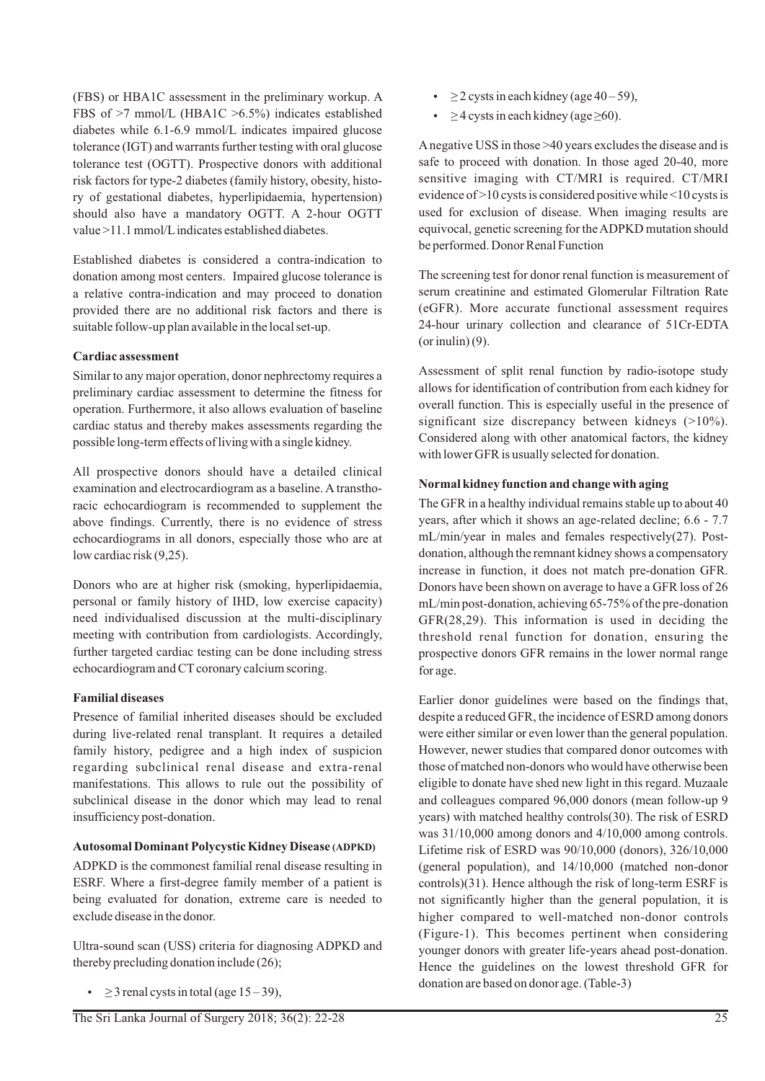(FBS) or HBA1C assessment in the preliminary workup. A FBS of >7 mmol/L (HBA1C >6.5%) indicates established diabetes while 6.1-6.9 mmol/L indicates impaired glucose tolerance (IGT) and warrants further testing with oral glucose tolerance test (OGTT). Prospective donors with additional risk factors for type-2 diabetes (family history, obesity, history of gestational diabetes, hyperlipidaemia, hypertension) should also have a mandatory OGTT. A 2-hour OGTT value >11.1 mmol/Lindicates established diabetes.

Established diabetes is considered a contra-indication to donation among most centers. Impaired glucose tolerance is a relative contra-indication and may proceed to donation provided there are no additional risk factors and there is suitable follow-up plan available in the local set-up.

## **Cardiac assessment**

Similar to any major operation, donor nephrectomy requires a preliminary cardiac assessment to determine the fitness for operation. Furthermore, it also allows evaluation of baseline cardiac status and thereby makes assessments regarding the possible long-term effects of living with a single kidney.

All prospective donors should have a detailed clinical examination and electrocardiogram as a baseline. A transthoracic echocardiogram is recommended to supplement the above findings. Currently, there is no evidence of stress echocardiograms in all donors, especially those who are at low cardiac risk (9,25).

Donors who are at higher risk (smoking, hyperlipidaemia, personal or family history of IHD, low exercise capacity) need individualised discussion at the multi-disciplinary meeting with contribution from cardiologists. Accordingly, further targeted cardiac testing can be done including stress echocardiogram and CT coronary calcium scoring.

## **Familial diseases**

Presence of familial inherited diseases should be excluded during live-related renal transplant. It requires a detailed family history, pedigree and a high index of suspicion regarding subclinical renal disease and extra-renal manifestations. This allows to rule out the possibility of subclinical disease in the donor which may lead to renal insufficiency post-donation.

## **Autosomal Dominant Polycystic Kidney Disease (ADPKD)**

ADPKD is the commonest familial renal disease resulting in ESRF. Where a first-degree family member of a patient is being evaluated for donation, extreme care is needed to exclude disease in the donor.

Ultra-sound scan (USS) criteria for diagnosing ADPKD and thereby precluding donation include (26);

•  $\geq$  3 renal cysts in total (age 15 – 39),

- $\geq$  2 cysts in each kidney (age 40 59),
- $\geq$  4 cysts in each kidney (age  $\geq$  60).

Anegative USS in those >40 years excludes the disease and is safe to proceed with donation. In those aged 20-40, more sensitive imaging with CT/MRI is required. CT/MRI evidence of >10 cysts is considered positive while <10 cysts is used for exclusion of disease. When imaging results are equivocal, genetic screening for the ADPKD mutation should be performed. Donor Renal Function

The screening test for donor renal function is measurement of serum creatinine and estimated Glomerular Filtration Rate (eGFR). More accurate functional assessment requires 24-hour urinary collection and clearance of 51Cr-EDTA  $($ or inulin $)$  $(9)$ .

Assessment of split renal function by radio-isotope study allows for identification of contribution from each kidney for overall function. This is especially useful in the presence of significant size discrepancy between kidneys (>10%). Considered along with other anatomical factors, the kidney with lower GFR is usually selected for donation.

## **Normal kidney function and change with aging**

The GFR in a healthy individual remains stable up to about 40 years, after which it shows an age-related decline; 6.6 - 7.7 mL/min/year in males and females respectively(27). Postdonation, although the remnant kidney shows a compensatory increase in function, it does not match pre-donation GFR. Donors have been shown on average to have a GFR loss of 26 mL/min post-donation, achieving 65-75% of the pre-donation GFR(28,29). This information is used in deciding the threshold renal function for donation, ensuring the prospective donors GFR remains in the lower normal range for age.

Earlier donor guidelines were based on the findings that, despite a reduced GFR, the incidence of ESRD among donors were either similar or even lower than the general population. However, newer studies that compared donor outcomes with those of matched non-donors who would have otherwise been eligible to donate have shed new light in this regard. Muzaale and colleagues compared 96,000 donors (mean follow-up 9 years) with matched healthy controls(30). The risk of ESRD was 31/10,000 among donors and 4/10,000 among controls. Lifetime risk of ESRD was 90/10,000 (donors), 326/10,000 (general population), and 14/10,000 (matched non-donor controls)(31). Hence although the risk of long-term ESRF is not significantly higher than the general population, it is higher compared to well-matched non-donor controls (Figure-1). This becomes pertinent when considering younger donors with greater life-years ahead post-donation. Hence the guidelines on the lowest threshold GFR for donation are based on donor age. (Table-3)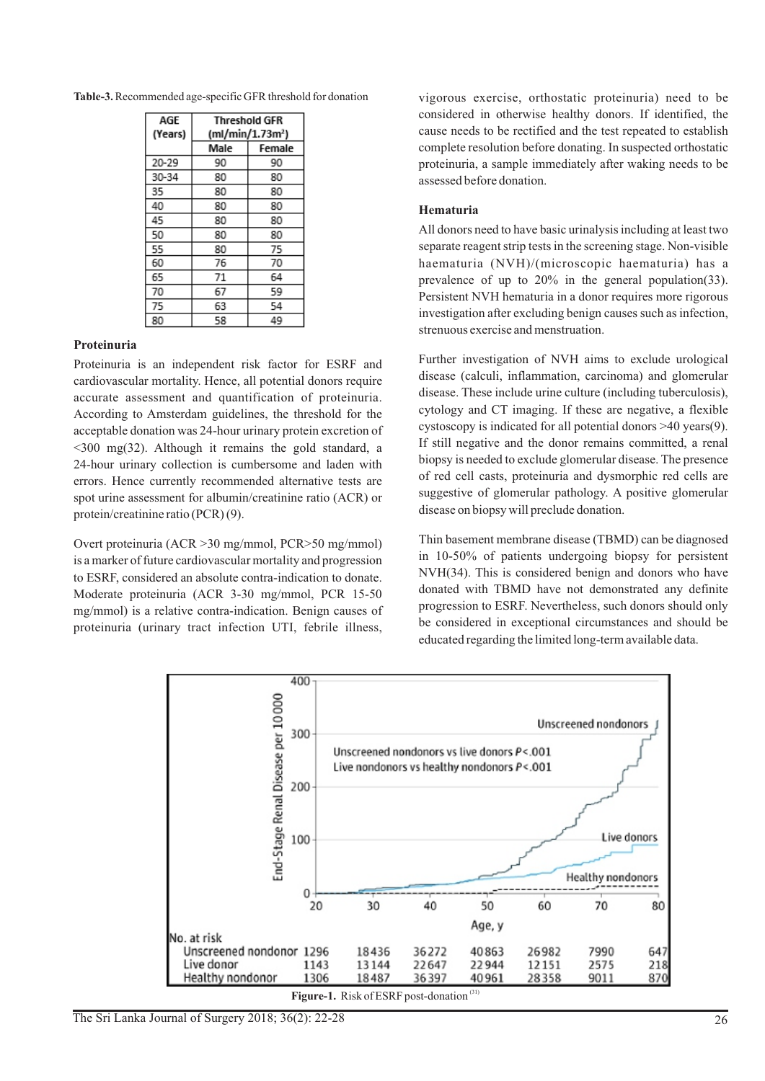| Table-3. Recommended age-specific GFR threshold for donation |
|--------------------------------------------------------------|
|--------------------------------------------------------------|

| AGE     | <b>Threshold GFR</b> |        |
|---------|----------------------|--------|
| (Years) | (ml/min/1.73m²)      |        |
|         | Male                 | Female |
| 20-29   | 90                   | 90     |
| 30-34   | 80                   | 80     |
| 35      | 80                   | 80     |
| 40      | 80                   | 80     |
| 45      | 80                   | 80     |
| 50      | 80                   | 80     |
| 55      | 80                   | 75     |
| 60      | 76                   | 70     |
| 65      | 71                   | 64     |
| 70      | 67                   | 59     |
| 75      | 63                   | 54     |
| 80      | 58                   | 49     |

## **Proteinuria**

Proteinuria is an independent risk factor for ESRF and cardiovascular mortality. Hence, all potential donors require accurate assessment and quantification of proteinuria. According to Amsterdam guidelines, the threshold for the acceptable donation was 24-hour urinary protein excretion of <300 mg(32). Although it remains the gold standard, a 24-hour urinary collection is cumbersome and laden with errors. Hence currently recommended alternative tests are spot urine assessment for albumin/creatinine ratio (ACR) or protein/creatinine ratio (PCR) (9).

Overt proteinuria (ACR >30 mg/mmol, PCR>50 mg/mmol) is a marker of future cardiovascular mortality and progression to ESRF, considered an absolute contra-indication to donate. Moderate proteinuria (ACR 3-30 mg/mmol, PCR 15-50 mg/mmol) is a relative contra-indication. Benign causes of proteinuria (urinary tract infection UTI, febrile illness,

vigorous exercise, orthostatic proteinuria) need to be considered in otherwise healthy donors. If identified, the cause needs to be rectified and the test repeated to establish complete resolution before donating. In suspected orthostatic proteinuria, a sample immediately after waking needs to be assessed before donation.

## **Hematuria**

All donors need to have basic urinalysis including at least two separate reagent strip tests in the screening stage. Non-visible haematuria (NVH)/(microscopic haematuria) has a prevalence of up to 20% in the general population(33). Persistent NVH hematuria in a donor requires more rigorous investigation after excluding benign causes such as infection, strenuous exercise and menstruation.

Further investigation of NVH aims to exclude urological disease (calculi, inflammation, carcinoma) and glomerular disease. These include urine culture (including tuberculosis), cytology and CT imaging. If these are negative, a flexible cystoscopy is indicated for all potential donors >40 years(9). If still negative and the donor remains committed, a renal biopsy is needed to exclude glomerular disease. The presence of red cell casts, proteinuria and dysmorphic red cells are suggestive of glomerular pathology. A positive glomerular disease on biopsy will preclude donation.

Thin basement membrane disease (TBMD) can be diagnosed in 10-50% of patients undergoing biopsy for persistent NVH(34). This is considered benign and donors who have donated with TBMD have not demonstrated any definite progression to ESRF. Nevertheless, such donors should only be considered in exceptional circumstances and should be educated regarding the limited long-term available data.



The Sri Lanka Journal of Surgery 2018; 36(2): 22-28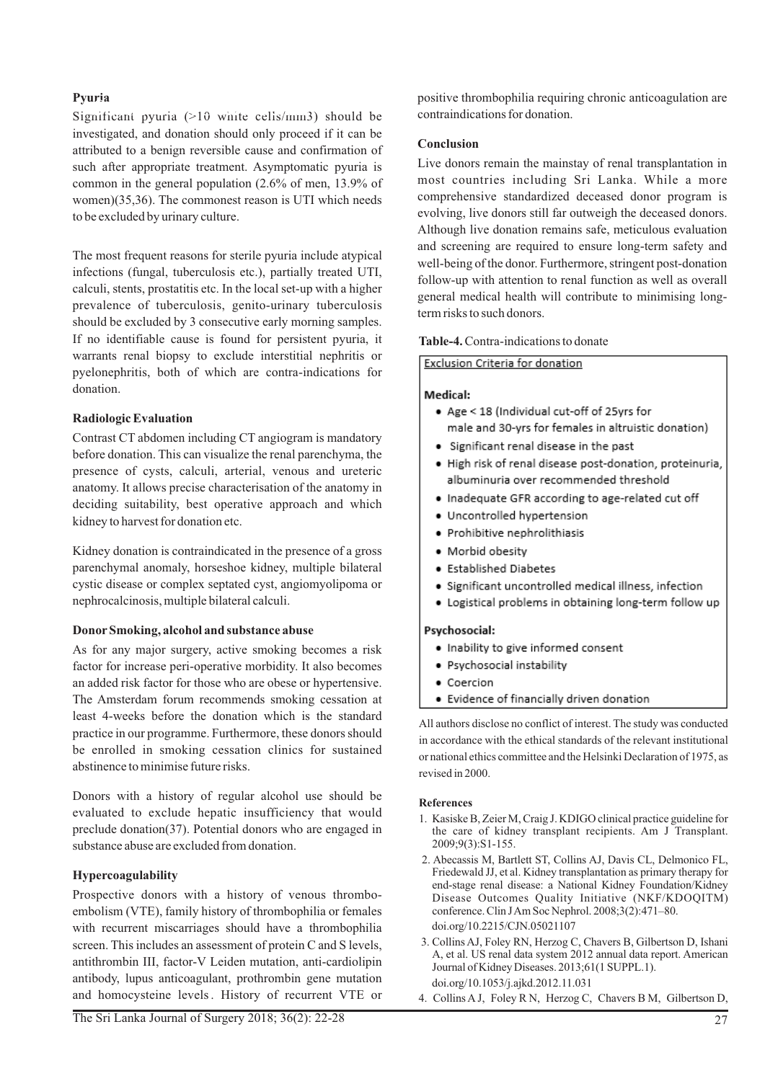## **Pyuria**

**Significant pyuria** (>10 white cells/mm3) should be investigated, and donation should only proceed if it can be attributed to a benign reversible cause and confirmation of such after appropriate treatment. Asymptomatic pyuria is common in the general population (2.6% of men, 13.9% of women)(35,36). The commonest reason is UTI which needs to be excluded by urinary culture.

The most frequent reasons for sterile pyuria include atypical infections (fungal, tuberculosis etc.), partially treated UTI, calculi, stents, prostatitis etc. In the local set-up with a higher prevalence of tuberculosis, genito-urinary tuberculosis should be excluded by 3 consecutive early morning samples. If no identifiable cause is found for persistent pyuria, it warrants renal biopsy to exclude interstitial nephritis or pyelonephritis, both of which are contra-indications for donation.

## **Radiologic Evaluation**

Contrast CT abdomen including CT angiogram is mandatory before donation. This can visualize the renal parenchyma, the presence of cysts, calculi, arterial, venous and ureteric anatomy. It allows precise characterisation of the anatomy in deciding suitability, best operative approach and which kidney to harvest for donation etc.

Kidney donation is contraindicated in the presence of a gross parenchymal anomaly, horseshoe kidney, multiple bilateral cystic disease or complex septated cyst, angiomyolipoma or nephrocalcinosis, multiple bilateral calculi.

## **DonorSmoking, alcohol and substance abuse**

As for any major surgery, active smoking becomes a risk factor for increase peri-operative morbidity. It also becomes an added risk factor for those who are obese or hypertensive. The Amsterdam forum recommends smoking cessation at least 4-weeks before the donation which is the standard practice in our programme. Furthermore, these donors should be enrolled in smoking cessation clinics for sustained abstinence to minimise future risks.

Donors with a history of regular alcohol use should be evaluated to exclude hepatic insufficiency that would preclude donation(37). Potential donors who are engaged in substance abuse are excluded from donation.

## **Hypercoagulability**

Prospective donors with a history of venous thromboembolism (VTE), family history of thrombophilia or females with recurrent miscarriages should have a thrombophilia screen. This includes an assessment of protein C and S levels, antithrombin III, factor-V Leiden mutation, anti-cardiolipin antibody, lupus anticoagulant, prothrombin gene mutation and homocysteine levels. History of recurrent VTE or

## **Conclusion**

Live donors remain the mainstay of renal transplantation in most countries including Sri Lanka. While a more comprehensive standardized deceased donor program is evolving, live donors still far outweigh the deceased donors. Although live donation remains safe, meticulous evaluation and screening are required to ensure long-term safety and well-being of the donor. Furthermore, stringent post-donation follow-up with attention to renal function as well as overall general medical health will contribute to minimising longterm risks to such donors.

**Table-4.**Contra-indications to donate

## Exclusion Criteria for donation

## Medical:

- . Age < 18 (Individual cut-off of 25yrs for male and 30-yrs for females in altruistic donation)
- Significant renal disease in the past
- · High risk of renal disease post-donation, proteinuria, albuminuria over recommended threshold
- . Inadequate GFR according to age-related cut off
- · Uncontrolled hypertension
- · Prohibitive nephrolithiasis
- · Morbid obesity
- · Established Diabetes
- · Significant uncontrolled medical illness, infection
- . Logistical problems in obtaining long-term follow up

## Psychosocial:

- . Inability to give informed consent
- · Psychosocial instability
- · Coercion
- · Evidence of financially driven donation

All authors disclose no conflict of interest. The study was conducted in accordance with the ethical standards of the relevant institutional or national ethics committee and the Helsinki Declaration of 1975, as revised in 2000.

## **References**

- 1. Kasiske B, Zeier M, Craig J. KDIGO clinical practice guideline for the care of kidney transplant recipients. Am J Transplant. 2009;9(3):S1-155.
- 2. Abecassis M, Bartlett ST, Collins AJ, Davis CL, Delmonico FL, Friedewald JJ, et al. Kidney transplantation as primary therapy for end-stage renal disease: a National Kidney Foundation/Kidney Disease Outcomes Quality Initiative (NKF/KDOQITM) conference. Clin J Am Soc Nephrol. 2008;3(2):471–80. doi.org/10.2215/CJN.05021107
- 3. Collins AJ, Foley RN, Herzog C, Chavers B, Gilbertson D, Ishani A, et al. US renal data system 2012 annual data report. American Journal of Kidney Diseases. 2013;61(1 SUPPL.1). doi.org/10.1053/j.ajkd.2012.11.031
- 4. Collins AJ, Foley R N, Herzog C, Chavers B M, Gilbertson D,